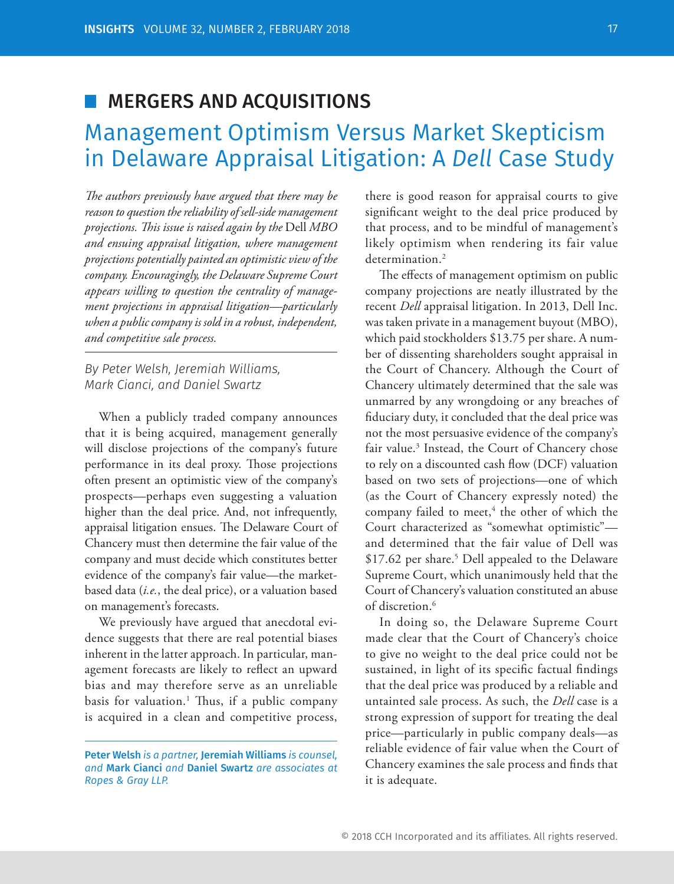# **MERGERS AND ACQUISITIONS**

# Management Optimism Versus Market Skepticism in Delaware Appraisal Litigation: A *Dell* Case Study

The authors previously have argued that there may be *reason to question the reliability of sell-side management projections. Th is issue is raised again by the* Dell *MBO and ensuing appraisal litigation, where management projections potentially painted an optimistic view of the company. Encouragingly, the Delaware Supreme Court appears willing to question the centrality of management projections in appraisal litigation—particularly when a public company is sold in a robust, independent, and competitive sale process.*

*By Peter Welsh, Jeremiah Williams, Mark Cianci, and Daniel Swartz*

When a publicly traded company announces that it is being acquired, management generally will disclose projections of the company's future performance in its deal proxy. Those projections often present an optimistic view of the company's prospects—perhaps even suggesting a valuation higher than the deal price. And, not infrequently, appraisal litigation ensues. The Delaware Court of Chancery must then determine the fair value of the company and must decide which constitutes better evidence of the company's fair value—the marketbased data (*i.e.*, the deal price), or a valuation based on management's forecasts.

We previously have argued that anecdotal evidence suggests that there are real potential biases inherent in the latter approach. In particular, management forecasts are likely to reflect an upward bias and may therefore serve as an unreliable basis for valuation.<sup>1</sup> Thus, if a public company is acquired in a clean and competitive process,

there is good reason for appraisal courts to give significant weight to the deal price produced by that process, and to be mindful of management's likely optimism when rendering its fair value determination.<sup>2</sup>

The effects of management optimism on public company projections are neatly illustrated by the recent *Dell* appraisal litigation. In 2013, Dell Inc. was taken private in a management buyout (MBO), which paid stockholders \$13.75 per share. A number of dissenting shareholders sought appraisal in the Court of Chancery. Although the Court of Chancery ultimately determined that the sale was unmarred by any wrongdoing or any breaches of fiduciary duty, it concluded that the deal price was not the most persuasive evidence of the company's fair value.<sup>3</sup> Instead, the Court of Chancery chose to rely on a discounted cash flow (DCF) valuation based on two sets of projections—one of which (as the Court of Chancery expressly noted) the company failed to meet,<sup>4</sup> the other of which the Court characterized as "somewhat optimistic" and determined that the fair value of Dell was \$17.62 per share.<sup>5</sup> Dell appealed to the Delaware Supreme Court, which unanimously held that the Court of Chancery's valuation constituted an abuse of discretion.<sup>6</sup>

In doing so, the Delaware Supreme Court made clear that the Court of Chancery's choice to give no weight to the deal price could not be sustained, in light of its specific factual findings that the deal price was produced by a reliable and untainted sale process. As such, the *Dell* case is a strong expression of support for treating the deal price—particularly in public company deals—as reliable evidence of fair value when the Court of Chancery examines the sale process and finds that it is adequate.

Peter Welsh *is a partner,* Jeremiah Williams *is counsel, and* Mark Cianci *and* Daniel Swartz *are associates at Ropes & Gray LLP.*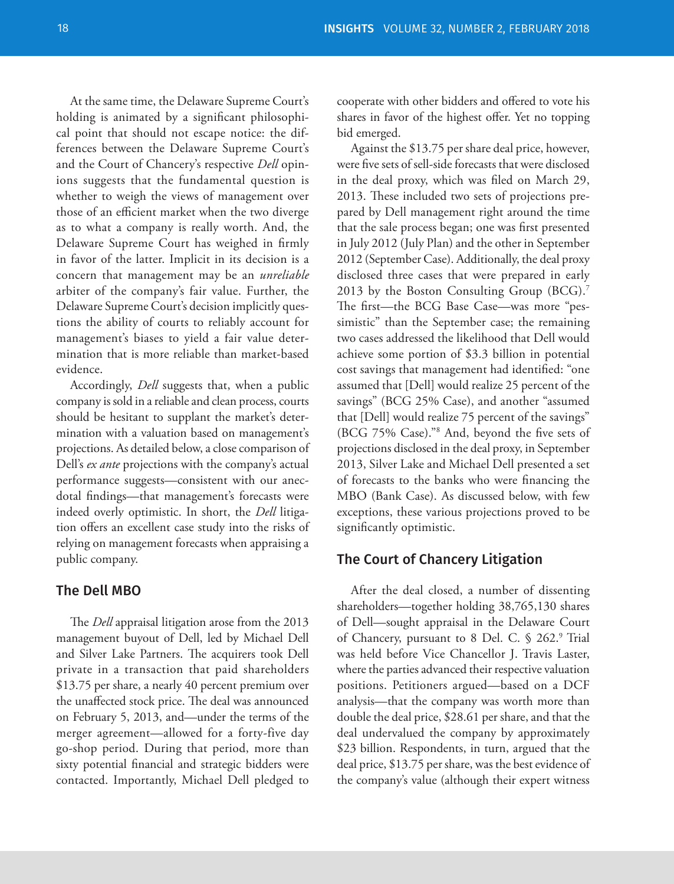At the same time, the Delaware Supreme Court's holding is animated by a significant philosophical point that should not escape notice: the differences between the Delaware Supreme Court's and the Court of Chancery's respective *Dell* opinions suggests that the fundamental question is whether to weigh the views of management over those of an efficient market when the two diverge as to what a company is really worth. And, the Delaware Supreme Court has weighed in firmly in favor of the latter. Implicit in its decision is a concern that management may be an *unreliable* arbiter of the company's fair value. Further, the Delaware Supreme Court's decision implicitly questions the ability of courts to reliably account for management's biases to yield a fair value determination that is more reliable than market-based evidence.

Accordingly, *Dell* suggests that, when a public company is sold in a reliable and clean process, courts should be hesitant to supplant the market's determination with a valuation based on management's projections. As detailed below, a close comparison of Dell's *ex ante* projections with the company's actual performance suggests—consistent with our anecdotal findings—that management's forecasts were indeed overly optimistic. In short, the *Dell* litigation offers an excellent case study into the risks of relying on management forecasts when appraising a public company.

### The Dell MBO

The *Dell* appraisal litigation arose from the 2013 management buyout of Dell, led by Michael Dell and Silver Lake Partners. The acquirers took Dell private in a transaction that paid shareholders \$13.75 per share, a nearly 40 percent premium over the unaffected stock price. The deal was announced on February 5, 2013, and—under the terms of the merger agreement—allowed for a forty-five day go-shop period. During that period, more than sixty potential financial and strategic bidders were contacted. Importantly, Michael Dell pledged to

cooperate with other bidders and offered to vote his shares in favor of the highest offer. Yet no topping bid emerged.

Against the \$13.75 per share deal price, however, were five sets of sell-side forecasts that were disclosed in the deal proxy, which was filed on March 29, 2013. These included two sets of projections prepared by Dell management right around the time that the sale process began; one was first presented in July 2012 (July Plan) and the other in September 2012 (September Case). Additionally, the deal proxy disclosed three cases that were prepared in early 2013 by the Boston Consulting Group (BCG).<sup>7</sup> The first-the BCG Base Case--was more "pessimistic" than the September case; the remaining two cases addressed the likelihood that Dell would achieve some portion of \$3.3 billion in potential cost savings that management had identified: "one assumed that [Dell] would realize 25 percent of the savings" (BCG 25% Case), and another "assumed that [Dell] would realize 75 percent of the savings" (BCG 75% Case)."<sup>8</sup> And, beyond the five sets of projections disclosed in the deal proxy, in September 2013, Silver Lake and Michael Dell presented a set of forecasts to the banks who were financing the MBO (Bank Case). As discussed below, with few exceptions, these various projections proved to be significantly optimistic.

#### The Court of Chancery Litigation

After the deal closed, a number of dissenting shareholders—together holding 38,765,130 shares of Dell—sought appraisal in the Delaware Court of Chancery, pursuant to 8 Del. C. § 262.9 Trial was held before Vice Chancellor J. Travis Laster, where the parties advanced their respective valuation positions. Petitioners argued—based on a DCF analysis—that the company was worth more than double the deal price, \$28.61 per share, and that the deal undervalued the company by approximately \$23 billion. Respondents, in turn, argued that the deal price, \$13.75 per share, was the best evidence of the company's value (although their expert witness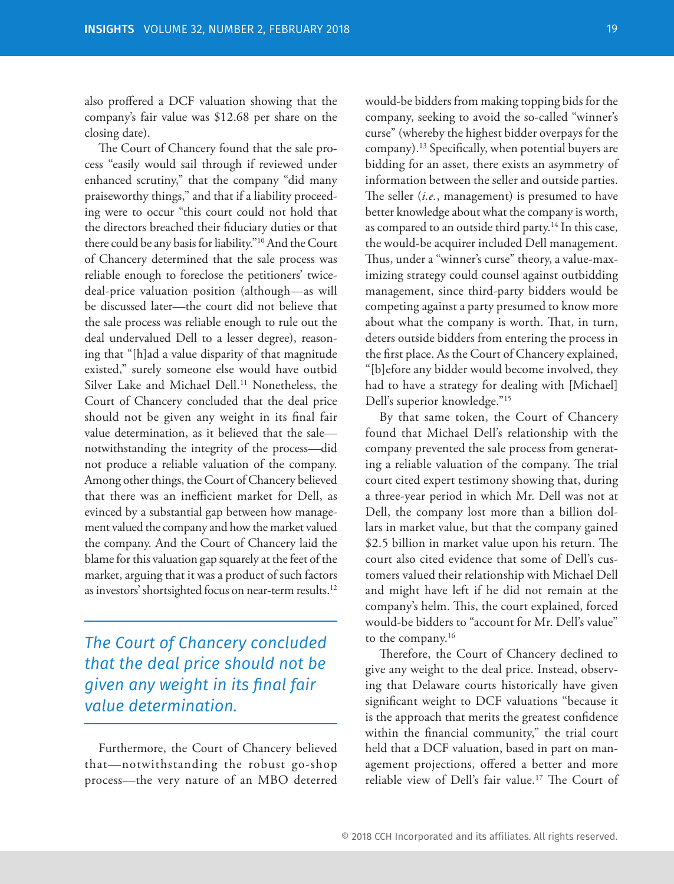also proffered a DCF valuation showing that the company's fair value was \$12.68 per share on the closing date).

The Court of Chancery found that the sale process "easily would sail through if reviewed under enhanced scrutiny," that the company "did many praiseworthy things," and that if a liability proceeding were to occur "this court could not hold that the directors breached their fiduciary duties or that there could be any basis for liability."10 And the Court of Chancery determined that the sale process was reliable enough to foreclose the petitioners' twicedeal-price valuation position (although—as will be discussed later—the court did not believe that the sale process was reliable enough to rule out the deal undervalued Dell to a lesser degree), reasoning that "[h]ad a value disparity of that magnitude existed," surely someone else would have outbid Silver Lake and Michael Dell.<sup>11</sup> Nonetheless, the Court of Chancery concluded that the deal price should not be given any weight in its final fair value determination, as it believed that the sale notwithstanding the integrity of the process—did not produce a reliable valuation of the company. Among other things, the Court of Chancery believed that there was an inefficient market for Dell, as evinced by a substantial gap between how management valued the company and how the market valued the company. And the Court of Chancery laid the blame for this valuation gap squarely at the feet of the market, arguing that it was a product of such factors as investors' shortsighted focus on near-term results.<sup>12</sup>

*The Court of Chancery concluded that the deal price should not be given any weight in its final fair value determination.*

Furthermore, the Court of Chancery believed that—notwithstanding the robust go-shop process—the very nature of an MBO deterred would-be bidders from making topping bids for the company, seeking to avoid the so-called "winner's curse" (whereby the highest bidder overpays for the company).<sup>13</sup> Specifically, when potential buyers are bidding for an asset, there exists an asymmetry of information between the seller and outside parties. The seller (*i.e.*, management) is presumed to have better knowledge about what the company is worth, as compared to an outside third party.<sup>14</sup> In this case, the would-be acquirer included Dell management. Thus, under a "winner's curse" theory, a value-maximizing strategy could counsel against outbidding management, since third-party bidders would be competing against a party presumed to know more about what the company is worth. That, in turn, deters outside bidders from entering the process in the first place. As the Court of Chancery explained, "[b]efore any bidder would become involved, they had to have a strategy for dealing with [Michael] Dell's superior knowledge."15

By that same token, the Court of Chancery found that Michael Dell's relationship with the company prevented the sale process from generating a reliable valuation of the company. The trial court cited expert testimony showing that, during a three-year period in which Mr. Dell was not at Dell, the company lost more than a billion dollars in market value, but that the company gained \$2.5 billion in market value upon his return. The court also cited evidence that some of Dell's customers valued their relationship with Michael Dell and might have left if he did not remain at the company's helm. This, the court explained, forced would-be bidders to "account for Mr. Dell's value" to the company.16

Therefore, the Court of Chancery declined to give any weight to the deal price. Instead, observing that Delaware courts historically have given significant weight to DCF valuations "because it is the approach that merits the greatest confidence within the financial community," the trial court held that a DCF valuation, based in part on management projections, offered a better and more reliable view of Dell's fair value.<sup>17</sup> The Court of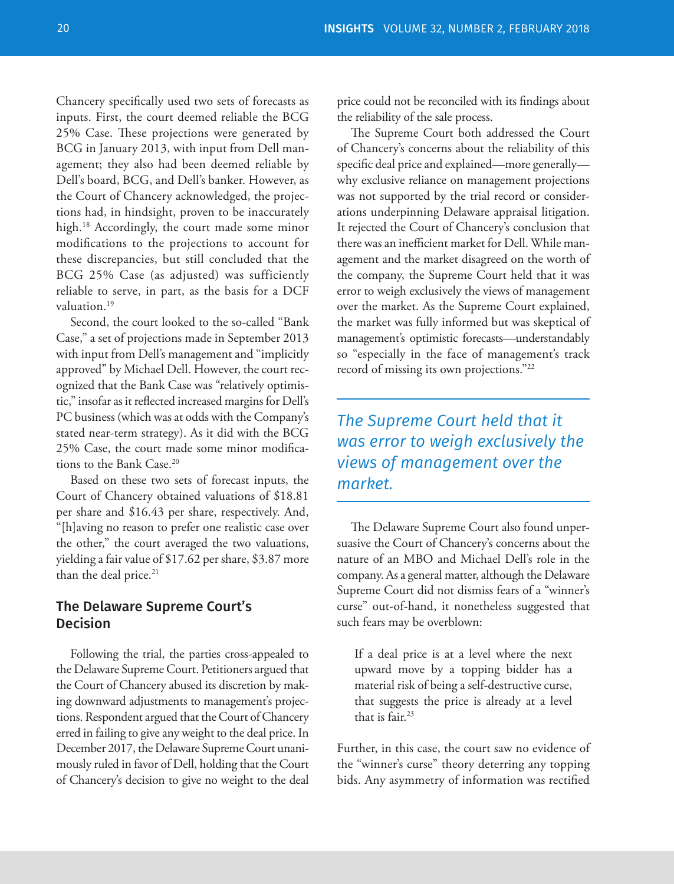Chancery specifically used two sets of forecasts as inputs. First, the court deemed reliable the BCG 25% Case. These projections were generated by BCG in January 2013, with input from Dell management; they also had been deemed reliable by Dell's board, BCG, and Dell's banker. However, as the Court of Chancery acknowledged, the projections had, in hindsight, proven to be inaccurately high.<sup>18</sup> Accordingly, the court made some minor modifications to the projections to account for these discrepancies, but still concluded that the BCG 25% Case (as adjusted) was sufficiently reliable to serve, in part, as the basis for a DCF valuation.<sup>19</sup>

Second, the court looked to the so-called "Bank Case," a set of projections made in September 2013 with input from Dell's management and "implicitly approved" by Michael Dell. However, the court recognized that the Bank Case was "relatively optimistic," insofar as it reflected increased margins for Dell's PC business (which was at odds with the Company's stated near-term strategy). As it did with the BCG 25% Case, the court made some minor modifications to the Bank Case.<sup>20</sup>

Based on these two sets of forecast inputs, the Court of Chancery obtained valuations of \$18.81 per share and \$16.43 per share, respectively. And, "[h]aving no reason to prefer one realistic case over the other," the court averaged the two valuations, yielding a fair value of \$17.62 per share, \$3.87 more than the deal price.<sup>21</sup>

### The Delaware Supreme Court's Decision

Following the trial, the parties cross-appealed to the Delaware Supreme Court. Petitioners argued that the Court of Chancery abused its discretion by making downward adjustments to management's projections. Respondent argued that the Court of Chancery erred in failing to give any weight to the deal price. In December 2017, the Delaware Supreme Court unanimously ruled in favor of Dell, holding that the Court of Chancery's decision to give no weight to the deal price could not be reconciled with its findings about the reliability of the sale process.

The Supreme Court both addressed the Court of Chancery's concerns about the reliability of this specific deal price and explained—more generally why exclusive reliance on management projections was not supported by the trial record or considerations underpinning Delaware appraisal litigation. It rejected the Court of Chancery's conclusion that there was an inefficient market for Dell. While management and the market disagreed on the worth of the company, the Supreme Court held that it was error to weigh exclusively the views of management over the market. As the Supreme Court explained, the market was fully informed but was skeptical of management's optimistic forecasts—understandably so "especially in the face of management's track record of missing its own projections."22

# *The Supreme Court held that it was error to weigh exclusively the views of management over the market.*

The Delaware Supreme Court also found unpersuasive the Court of Chancery's concerns about the nature of an MBO and Michael Dell's role in the company. As a general matter, although the Delaware Supreme Court did not dismiss fears of a "winner's curse" out-of-hand, it nonetheless suggested that such fears may be overblown:

If a deal price is at a level where the next upward move by a topping bidder has a material risk of being a self-destructive curse, that suggests the price is already at a level that is fair.23

Further, in this case, the court saw no evidence of the "winner's curse" theory deterring any topping bids. Any asymmetry of information was rectified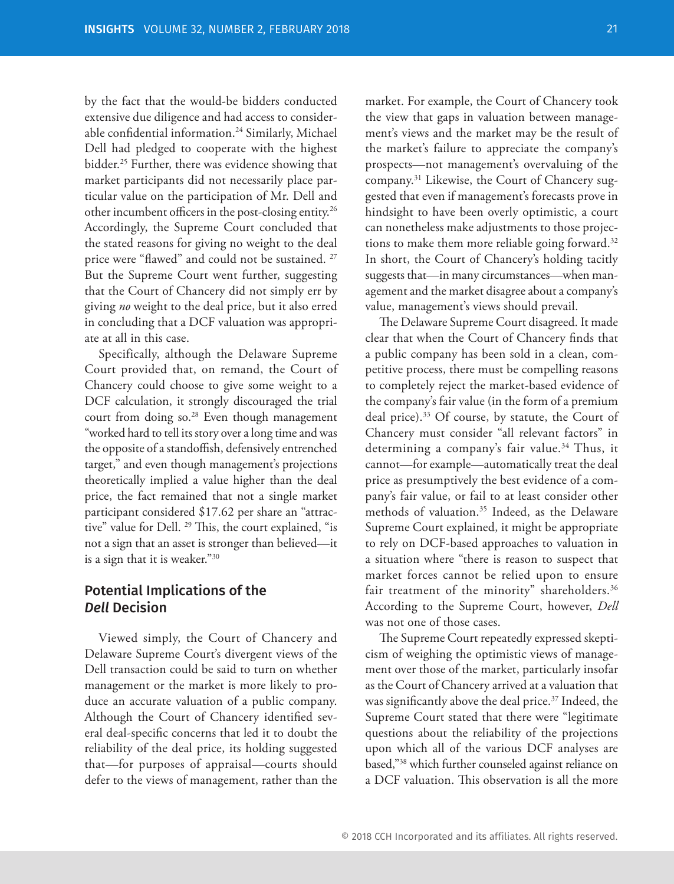by the fact that the would-be bidders conducted extensive due diligence and had access to considerable confidential information.<sup>24</sup> Similarly, Michael Dell had pledged to cooperate with the highest bidder.25 Further, there was evidence showing that market participants did not necessarily place particular value on the participation of Mr. Dell and other incumbent officers in the post-closing entity.<sup>26</sup> Accordingly, the Supreme Court concluded that the stated reasons for giving no weight to the deal price were "flawed" and could not be sustained.<sup>27</sup> But the Supreme Court went further, suggesting that the Court of Chancery did not simply err by giving *no* weight to the deal price, but it also erred in concluding that a DCF valuation was appropriate at all in this case.

Specifically, although the Delaware Supreme Court provided that, on remand, the Court of Chancery could choose to give some weight to a DCF calculation, it strongly discouraged the trial court from doing so.<sup>28</sup> Even though management "worked hard to tell its story over a long time and was the opposite of a standoffish, defensively entrenched target," and even though management's projections theoretically implied a value higher than the deal price, the fact remained that not a single market participant considered \$17.62 per share an "attractive" value for Dell.<sup>29</sup> This, the court explained, "is not a sign that an asset is stronger than believed—it is a sign that it is weaker."30

## Potential Implications of the *Dell* Decision

Viewed simply, the Court of Chancery and Delaware Supreme Court's divergent views of the Dell transaction could be said to turn on whether management or the market is more likely to produce an accurate valuation of a public company. Although the Court of Chancery identified several deal-specific concerns that led it to doubt the reliability of the deal price, its holding suggested that—for purposes of appraisal—courts should defer to the views of management, rather than the

market. For example, the Court of Chancery took the view that gaps in valuation between management's views and the market may be the result of the market's failure to appreciate the company's prospects—not management's overvaluing of the company.31 Likewise, the Court of Chancery suggested that even if management's forecasts prove in hindsight to have been overly optimistic, a court can nonetheless make adjustments to those projections to make them more reliable going forward.<sup>32</sup> In short, the Court of Chancery's holding tacitly suggests that—in many circumstances—when management and the market disagree about a company's value, management's views should prevail.

The Delaware Supreme Court disagreed. It made clear that when the Court of Chancery finds that a public company has been sold in a clean, competitive process, there must be compelling reasons to completely reject the market-based evidence of the company's fair value (in the form of a premium deal price).<sup>33</sup> Of course, by statute, the Court of Chancery must consider "all relevant factors" in determining a company's fair value.<sup>34</sup> Thus, it cannot—for example—automatically treat the deal price as presumptively the best evidence of a company's fair value, or fail to at least consider other methods of valuation.35 Indeed, as the Delaware Supreme Court explained, it might be appropriate to rely on DCF-based approaches to valuation in a situation where "there is reason to suspect that market forces cannot be relied upon to ensure fair treatment of the minority" shareholders.<sup>36</sup> According to the Supreme Court, however, *Dell* was not one of those cases.

The Supreme Court repeatedly expressed skepticism of weighing the optimistic views of management over those of the market, particularly insofar as the Court of Chancery arrived at a valuation that was significantly above the deal price.<sup>37</sup> Indeed, the Supreme Court stated that there were "legitimate questions about the reliability of the projections upon which all of the various DCF analyses are based,"38 which further counseled against reliance on a DCF valuation. This observation is all the more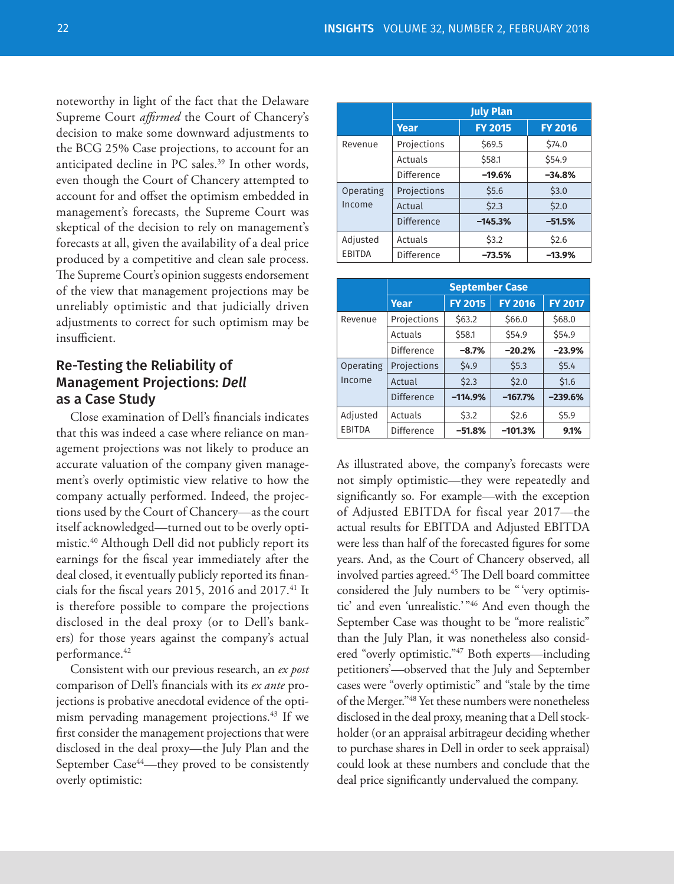noteworthy in light of the fact that the Delaware Supreme Court *affirmed* the Court of Chancery's decision to make some downward adjustments to the BCG 25% Case projections, to account for an anticipated decline in PC sales.<sup>39</sup> In other words, even though the Court of Chancery attempted to account for and offset the optimism embedded in management's forecasts, the Supreme Court was skeptical of the decision to rely on management's forecasts at all, given the availability of a deal price produced by a competitive and clean sale process. The Supreme Court's opinion suggests endorsement of the view that management projections may be unreliably optimistic and that judicially driven adjustments to correct for such optimism may be insufficient.

## Re-Testing the Reliability of Management Projections: *Dell* as a Case Study

Close examination of Dell's financials indicates that this was indeed a case where reliance on management projections was not likely to produce an accurate valuation of the company given management's overly optimistic view relative to how the company actually performed. Indeed, the projections used by the Court of Chancery—as the court itself acknowledged—turned out to be overly optimistic.<sup>40</sup> Although Dell did not publicly report its earnings for the fiscal year immediately after the deal closed, it eventually publicly reported its financials for the fiscal years 2015, 2016 and 2017. $^{41}$  It is therefore possible to compare the projections disclosed in the deal proxy (or to Dell's bankers) for those years against the company's actual performance.42

Consistent with our previous research, an *ex post* comparison of Dell's financials with its *ex ante* projections is probative anecdotal evidence of the optimism pervading management projections.<sup>43</sup> If we first consider the management projections that were disclosed in the deal proxy—the July Plan and the September Case<sup>44</sup>—they proved to be consistently overly optimistic:

|           | <b>July Plan</b>  |                |                |  |
|-----------|-------------------|----------------|----------------|--|
|           | Year              | <b>FY 2015</b> | <b>FY 2016</b> |  |
| Revenue   | Projections       | \$69.5         | \$74.0         |  |
|           | Actuals           | \$58.1         | \$54.9         |  |
|           | Difference        | $-19.6%$       | $-34.8%$       |  |
| Operating | Projections       | \$5.6          | \$3.0          |  |
| Income    | Actual            | \$2.3          | \$2.0          |  |
|           | <b>Difference</b> | $-145.3%$      | $-51.5%$       |  |
| Adjusted  | Actuals           | \$3.2          | \$2.6          |  |
| EBITDA    | Difference        | $-73.5%$       | $-13.9%$       |  |

|           | <b>September Case</b> |                |                |                |
|-----------|-----------------------|----------------|----------------|----------------|
|           | Year                  | <b>FY 2015</b> | <b>FY 2016</b> | <b>FY 2017</b> |
| Revenue   | Projections           | \$63.2         | \$66.0         | \$68.0         |
|           | Actuals               | \$58.1         | \$54.9         | \$54.9         |
|           | Difference            | $-8.7%$        | $-20.2%$       | $-23.9%$       |
| Operating | Projections           | \$4.9          | \$5.3          | \$5.4          |
| Income    | Actual                | \$2.3          | \$2.0          | \$1.6          |
|           | <b>Difference</b>     | $-114.9%$      | $-167.7%$      | $-239.6%$      |
| Adjusted  | Actuals               | \$3.2          | \$2.6          | \$5.9          |
| EBITDA    | <b>Difference</b>     | $-51.8%$       | $-101.3%$      | 9.1%           |

As illustrated above, the company's forecasts were not simply optimistic—they were repeatedly and significantly so. For example—with the exception of Adjusted EBITDA for fiscal year 2017—the actual results for EBITDA and Adjusted EBITDA were less than half of the forecasted figures for some years. And, as the Court of Chancery observed, all involved parties agreed.<sup>45</sup> The Dell board committee considered the July numbers to be " 'very optimistic' and even 'unrealistic.' "46 And even though the September Case was thought to be "more realistic" than the July Plan, it was nonetheless also considered "overly optimistic."47 Both experts—including petitioners'—observed that the July and September cases were "overly optimistic" and "stale by the time of the Merger."48 Yet these numbers were nonetheless disclosed in the deal proxy, meaning that a Dell stockholder (or an appraisal arbitrageur deciding whether to purchase shares in Dell in order to seek appraisal) could look at these numbers and conclude that the deal price significantly undervalued the company.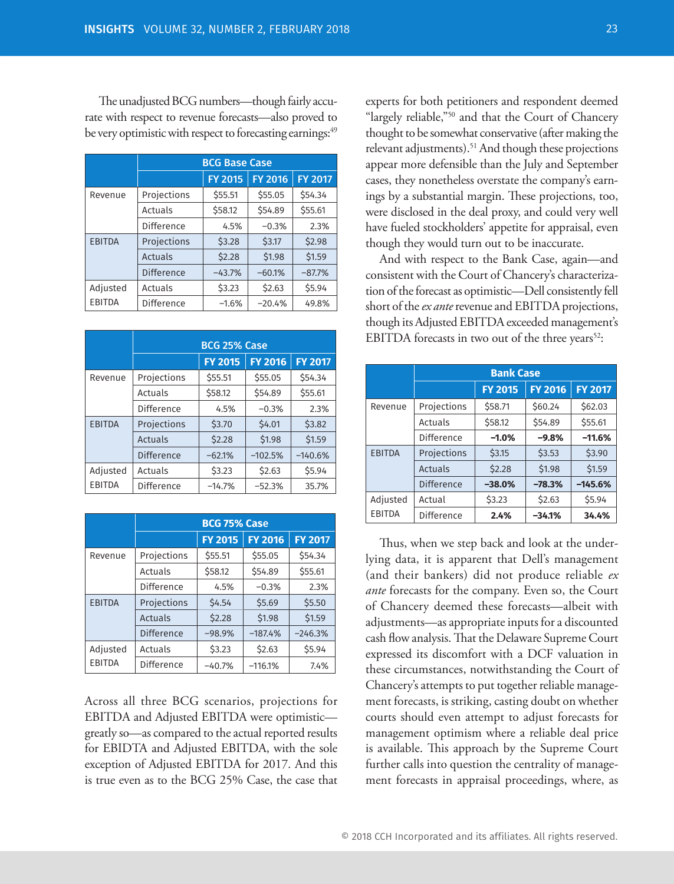The unadjusted BCG numbers—though fairly accurate with respect to revenue forecasts—also proved to be very optimistic with respect to forecasting earnings:<sup>49</sup>

|                           | <b>BCG Base Case</b> |                |                |                |
|---------------------------|----------------------|----------------|----------------|----------------|
|                           |                      | <b>FY 2015</b> | <b>FY 2016</b> | <b>FY 2017</b> |
| Revenue                   | Projections          | \$55.51        | \$55.05        | \$54.34        |
|                           | Actuals              | \$58.12        | \$54.89        | \$55.61        |
|                           | Difference           | 4.5%           | $-0.3%$        | 2.3%           |
| <b>EBITDA</b>             | Projections          | \$3.28         | \$3.17         | \$2.98         |
|                           | Actuals              | \$2.28         | \$1.98         | \$1.59         |
|                           | Difference           | $-43.7%$       | $-60.1%$       | $-87.7%$       |
| Adjusted<br><b>EBITDA</b> | Actuals              | \$3.23         | \$2.63         | \$5.94         |
|                           | Difference           | $-1.6%$        | $-20.4%$       | 49.8%          |

|                           | <b>BCG 25% Case</b> |                |                |                |
|---------------------------|---------------------|----------------|----------------|----------------|
|                           |                     | <b>FY 2015</b> | <b>FY 2016</b> | <b>FY 2017</b> |
| Revenue                   | Projections         | \$55.51        | \$55.05        | \$54.34        |
|                           | Actuals             | \$58.12        | \$54.89        | \$55.61        |
|                           | Difference          | 4.5%           | $-0.3%$        | 2.3%           |
| <b>EBITDA</b>             | Projections         | \$3.70         | \$4.01         | \$3.82         |
|                           | Actuals             | \$2.28         | \$1.98         | \$1.59         |
|                           | Difference          | $-62.1%$       | $-102.5%$      | $-140.6%$      |
| Adjusted<br><b>EBITDA</b> | Actuals             | \$3.23         | \$2.63         | \$5.94         |
|                           | Difference          | $-14.7%$       | $-52.3%$       | 35.7%          |

|                           | <b>BCG 75% Case</b> |                |                |                |
|---------------------------|---------------------|----------------|----------------|----------------|
|                           |                     | <b>FY 2015</b> | <b>FY 2016</b> | <b>FY 2017</b> |
| Revenue                   | Projections         | \$55.51        | \$55.05        | \$54.34        |
|                           | Actuals             | \$58.12        | \$54.89        | \$55.61        |
|                           | Difference          | 4.5%           | $-0.3%$        | 2.3%           |
| <b>EBITDA</b>             | Projections         | \$4.54         | \$5.69         | \$5.50         |
|                           | Actuals             | \$2.28         | \$1.98         | \$1.59         |
|                           | Difference          | $-98.9%$       | $-187.4%$      | $-246.3%$      |
| Adjusted<br><b>EBITDA</b> | Actuals             | \$3.23         | \$2.63         | \$5.94         |
|                           | Difference          | $-40.7%$       | $-116.1%$      | 7.4%           |

Across all three BCG scenarios, projections for EBITDA and Adjusted EBITDA were optimistic greatly so—as compared to the actual reported results for EBIDTA and Adjusted EBITDA, with the sole exception of Adjusted EBITDA for 2017. And this is true even as to the BCG 25% Case, the case that

experts for both petitioners and respondent deemed "largely reliable,"50 and that the Court of Chancery thought to be somewhat conservative (after making the relevant adjustments).<sup>51</sup> And though these projections appear more defensible than the July and September cases, they nonetheless overstate the company's earnings by a substantial margin. These projections, too, were disclosed in the deal proxy, and could very well have fueled stockholders' appetite for appraisal, even though they would turn out to be inaccurate.

And with respect to the Bank Case, again—and consistent with the Court of Chancery's characterization of the forecast as optimistic—Dell consistently fell short of the *ex ante* revenue and EBITDA projections, though its Adjusted EBITDA exceeded management's EBITDA forecasts in two out of the three years<sup>52</sup>:

|                           | <b>Bank Case</b> |                |                |                |
|---------------------------|------------------|----------------|----------------|----------------|
|                           |                  | <b>FY 2015</b> | <b>FY 2016</b> | <b>FY 2017</b> |
| Revenue                   | Projections      | \$58.71        | \$60.24        | \$62.03        |
|                           | Actuals          | \$58.12        | \$54.89        | \$55.61        |
|                           | Difference       | $-1.0%$        | $-9.8%$        | $-11.6%$       |
| <b>EBITDA</b>             | Projections      | \$3.15         | \$3.53         | \$3.90         |
|                           | Actuals          | \$2.28         | \$1.98         | \$1.59         |
|                           | Difference       | $-38.0%$       | $-78.3%$       | $-145.6%$      |
| Adjusted<br><b>EBITDA</b> | Actual           | \$3.23         | \$2.63         | \$5.94         |
|                           | Difference       | 2.4%           | $-34.1%$       | 34.4%          |

Thus, when we step back and look at the underlying data, it is apparent that Dell's management (and their bankers) did not produce reliable *ex ante* forecasts for the company. Even so, the Court of Chancery deemed these forecasts—albeit with adjustments—as appropriate inputs for a discounted cash flow analysis. That the Delaware Supreme Court expressed its discomfort with a DCF valuation in these circumstances, notwithstanding the Court of Chancery's attempts to put together reliable management forecasts, is striking, casting doubt on whether courts should even attempt to adjust forecasts for management optimism where a reliable deal price is available. This approach by the Supreme Court further calls into question the centrality of management forecasts in appraisal proceedings, where, as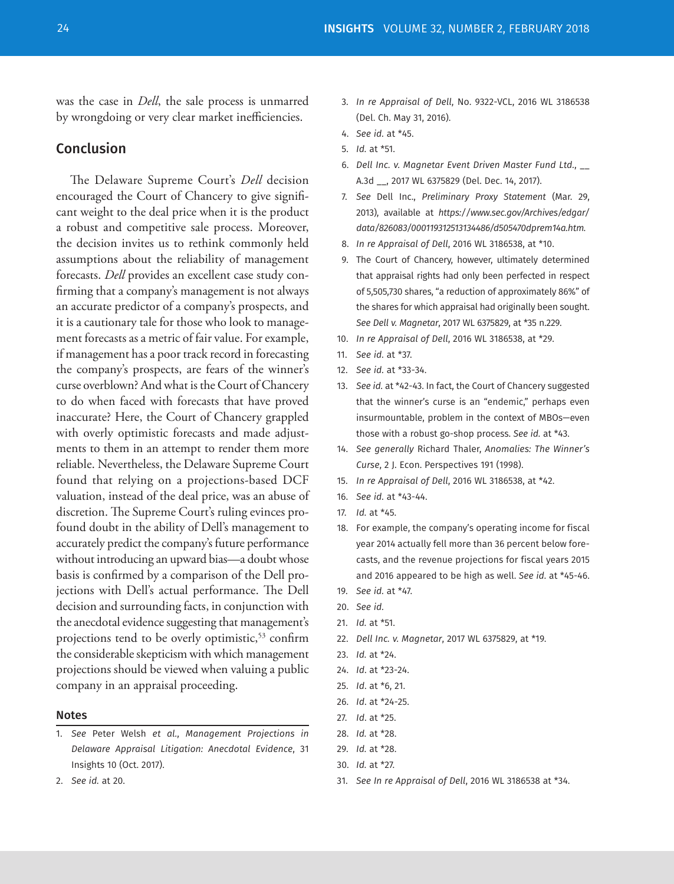was the case in *Dell*, the sale process is unmarred by wrongdoing or very clear market inefficiencies.

### Conclusion

The Delaware Supreme Court's *Dell* decision encouraged the Court of Chancery to give significant weight to the deal price when it is the product a robust and competitive sale process. Moreover, the decision invites us to rethink commonly held assumptions about the reliability of management forecasts. *Dell* provides an excellent case study confirming that a company's management is not always an accurate predictor of a company's prospects, and it is a cautionary tale for those who look to management forecasts as a metric of fair value. For example, if management has a poor track record in forecasting the company's prospects, are fears of the winner's curse overblown? And what is the Court of Chancery to do when faced with forecasts that have proved inaccurate? Here, the Court of Chancery grappled with overly optimistic forecasts and made adjustments to them in an attempt to render them more reliable. Nevertheless, the Delaware Supreme Court found that relying on a projections-based DCF valuation, instead of the deal price, was an abuse of discretion. The Supreme Court's ruling evinces profound doubt in the ability of Dell's management to accurately predict the company's future performance without introducing an upward bias—a doubt whose basis is confirmed by a comparison of the Dell projections with Dell's actual performance. The Dell decision and surrounding facts, in conjunction with the anecdotal evidence suggesting that management's projections tend to be overly optimistic,<sup>53</sup> confirm the considerable skepticism with which management projections should be viewed when valuing a public company in an appraisal proceeding.

#### Notes

1. *See* Peter Welsh *et al.*, *Management Projections in Delaware Appraisal Litigation: Anecdotal Evidence*, 31 Insights 10 (Oct. 2017).

- 3. *In re Appraisal of Dell*, No. 9322-VCL, 2016 WL 3186538 (Del. Ch. May 31, 2016).
- 4. *See id.* at \*45.
- 5. *Id.* at \*51.
- 6. *Dell Inc. v. Magnetar Event Driven Master Fund Ltd.*, \_\_ A.3d \_\_, 2017 WL 6375829 (Del. Dec. 14, 2017).
- 7. *See* Dell Inc., *Preliminary Proxy Statement* (Mar. 29, 2013), available at *https://www.sec.gov/Archives/edgar/ data/826083/000119312513134486/d505470dprem14a.htm.*
- 8. *In re Appraisal of Dell*, 2016 WL 3186538, at \*10.
- 9. The Court of Chancery, however, ultimately determined that appraisal rights had only been perfected in respect of 5,505,730 shares, "a reduction of approximately 86%" of the shares for which appraisal had originally been sought. *See Dell v. Magnetar*, 2017 WL 6375829, at \*35 n.229.
- 10. *In re Appraisal of Dell*, 2016 WL 3186538, at \*29.
- 11. *See id.* at \*37.
- 12. *See id.* at \*33-34.
- 13. *See id.* at \*42-43. In fact, the Court of Chancery suggested that the winner's curse is an "endemic," perhaps even insurmountable, problem in the context of MBOs—even those with a robust go-shop process. *See id.* at \*43.
- 14. *See generally* Richard Thaler, *Anomalies: The Winner's Curse*, 2 J. Econ. Perspectives 191 (1998).
- 15. *In re Appraisal of Dell*, 2016 WL 3186538, at \*42.
- 16. *See id.* at \*43-44.
- 17. *Id.* at \*45.
- 18. For example, the company's operating income for fiscal year 2014 actually fell more than 36 percent below forecasts, and the revenue projections for fiscal years 2015 and 2016 appeared to be high as well. *See id.* at \*45-46.
- 19. *See id.* at \*47.
- 20. *See id.*
- 21. *Id.* at \*51.
- 22. *Dell Inc. v. Magnetar*, 2017 WL 6375829, at \*19.
- 23. *Id.* at \*24.
- 24. *Id*. at \*23-24.
- 25. *Id*. at \*6, 21.
- 26. *Id*. at \*24-25.
- 27. *Id*. at \*25.
- 28. *Id.* at \*28.
- 29. *Id.* at \*28.
- 30. *Id.* at \*27.
- 31. *See In re Appraisal of Dell*, 2016 WL 3186538 at \*34.

2. *See id.* at 20.